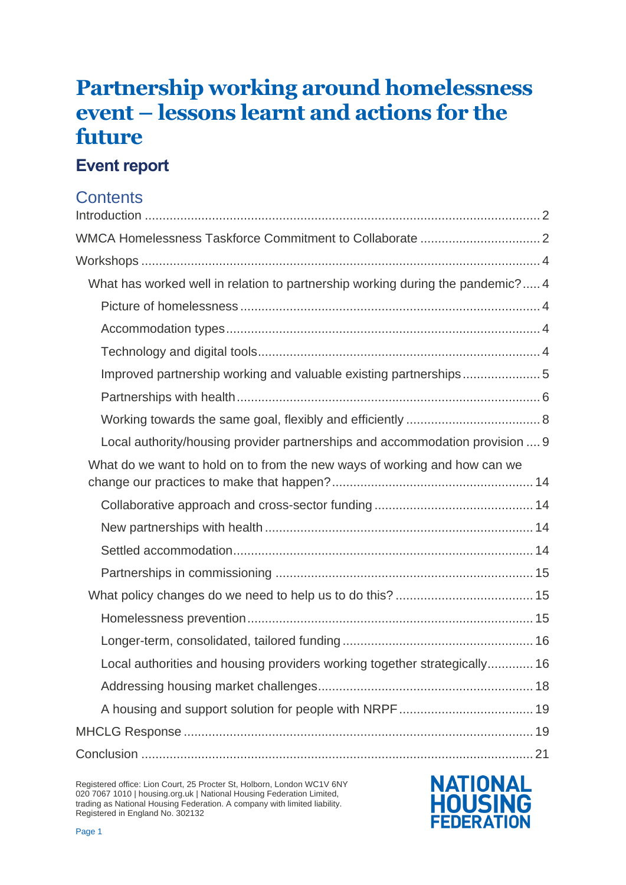# **Partnership working around homelessness event – lessons learnt and actions for the future**

## **Event report**

## **Contents**

| What has worked well in relation to partnership working during the pandemic? 4 |
|--------------------------------------------------------------------------------|
|                                                                                |
|                                                                                |
|                                                                                |
| Improved partnership working and valuable existing partnerships5               |
|                                                                                |
|                                                                                |
| Local authority/housing provider partnerships and accommodation provision  9   |
| What do we want to hold on to from the new ways of working and how can we      |
|                                                                                |
|                                                                                |
|                                                                                |
|                                                                                |
|                                                                                |
|                                                                                |
|                                                                                |
| Local authorities and housing providers working together strategically 16      |
|                                                                                |
|                                                                                |
|                                                                                |
|                                                                                |

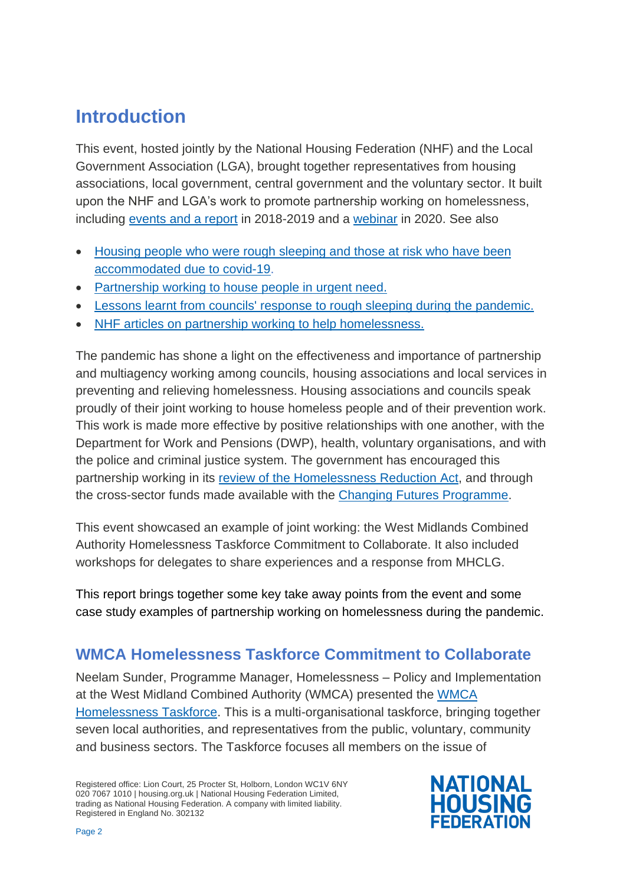## <span id="page-1-0"></span>**Introduction**

This event, hosted jointly by the National Housing Federation (NHF) and the Local Government Association (LGA), brought together representatives from housing associations, local government, central government and the voluntary sector. It built upon the NHF and LGA's work to promote partnership working on homelessness, including [events and a report](https://www.housing.org.uk/resources/working-together-to-end-homelessness/) in 2018-2019 and a [webinar](https://www.housing.org.uk/resources/preventing-homelessness-together-webinar/) in 2020. See also

- Housing people who were rough sleeping and those at risk who have been [accommodated due to covid-19.](https://localpartnerships.org.uk/wp-content/uploads/2020/06/Rough-sleeper-accommodation-guidance-final.pdf)
- [Partnership working to house people in urgent need.](https://www.housing.org.uk/resources/partnership-working-to-house-people-in-urgent-need/)
- [Lessons learnt from councils' response to rough sleeping during the pandemic.](https://www.local.gov.uk/publications/lessons-learnt-councils-response-rough-sleeping-during-covid-19-pandemic)
- [NHF articles on partnership working to help homelessness.](https://www.housing.org.uk/search-results/?q=partnership)

The pandemic has shone a light on the effectiveness and importance of partnership and multiagency working among councils, housing associations and local services in preventing and relieving homelessness. Housing associations and councils speak proudly of their joint working to house homeless people and of their prevention work. This work is made more effective by positive relationships with one another, with the Department for Work and Pensions (DWP), health, voluntary organisations, and with the police and criminal justice system. The government has encouraged this partnership working in its [review of the Homelessness Reduction Act,](https://www.gov.uk/government/consultations/homelessness-reduction-act-2017-call-for-evidence) and through the cross-sector funds made available with the [Changing Futures Programme.](https://www.gov.uk/government/publications/changing-futures-changing-systems-for-adults-experiencing-multiple-disadvantage)

This event showcased an example of joint working: the West Midlands Combined Authority Homelessness Taskforce Commitment to Collaborate. It also included workshops for delegates to share experiences and a response from MHCLG.

This report brings together some key take away points from the event and some case study examples of partnership working on homelessness during the pandemic.

## <span id="page-1-1"></span>**WMCA Homelessness Taskforce Commitment to Collaborate**

Neelam Sunder, Programme Manager, Homelessness – Policy and Implementation at the West Midland Combined Authority (WMCA) presented the [WMCA](https://www.wmca.org.uk/who-we-are/meet-the-mayor/homelessness-task-force/)  [Homelessness Taskforce.](https://www.wmca.org.uk/who-we-are/meet-the-mayor/homelessness-task-force/) This is a multi-organisational taskforce, bringing together seven local authorities, and representatives from the public, voluntary, community and business sectors. The Taskforce focuses all members on the issue of

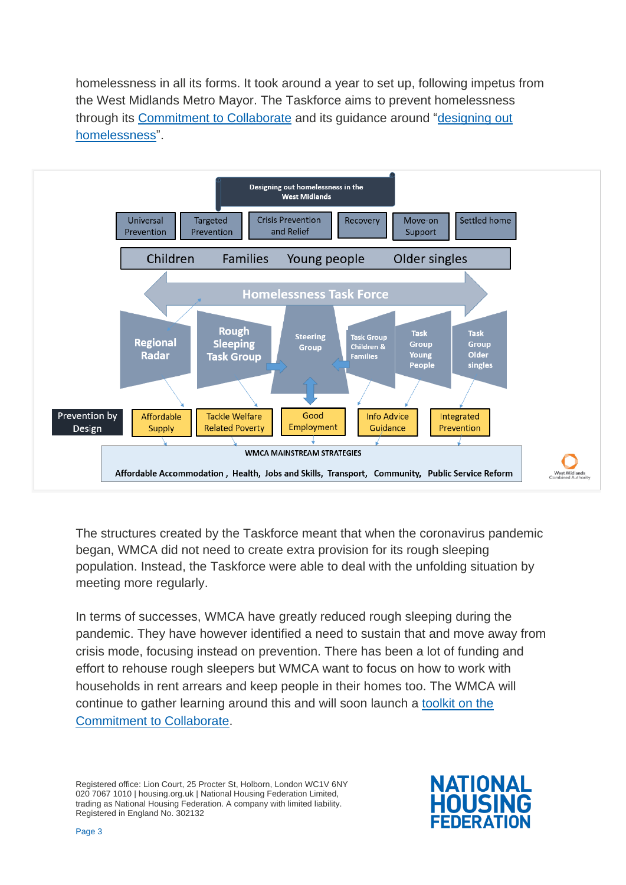homelessness in all its forms. It took around a year to set up, following impetus from the West Midlands Metro Mayor. The Taskforce aims to prevent homelessness through its [Commitment to Collaborate](https://www.wmca.org.uk/who-we-are/meet-the-mayor/homelessness-taskforce/) and its guidance around ["designing out](https://www.bitc.org.uk/wp-content/uploads/2019/11/bitc-employment-toolkit-DesigningOutHomelessness-Nov19.pdf)  [homelessness"](https://www.bitc.org.uk/wp-content/uploads/2019/11/bitc-employment-toolkit-DesigningOutHomelessness-Nov19.pdf).



The structures created by the Taskforce meant that when the coronavirus pandemic began, WMCA did not need to create extra provision for its rough sleeping population. Instead, the Taskforce were able to deal with the unfolding situation by meeting more regularly.

In terms of successes, WMCA have greatly reduced rough sleeping during the pandemic. They have however identified a need to sustain that and move away from crisis mode, focusing instead on prevention. There has been a lot of funding and effort to rehouse rough sleepers but WMCA want to focus on how to work with households in rent arrears and keep people in their homes too. The WMCA will continue to gather learning around this and will soon launch a [toolkit on the](https://www.wmca.org.uk/who-we-are/meet-the-mayor/commitment-to-collaborate-c2c-to-prevent-and-relieve-homelessness-toolkit/)  [Commitment to Collaborate.](https://www.wmca.org.uk/who-we-are/meet-the-mayor/commitment-to-collaborate-c2c-to-prevent-and-relieve-homelessness-toolkit/)

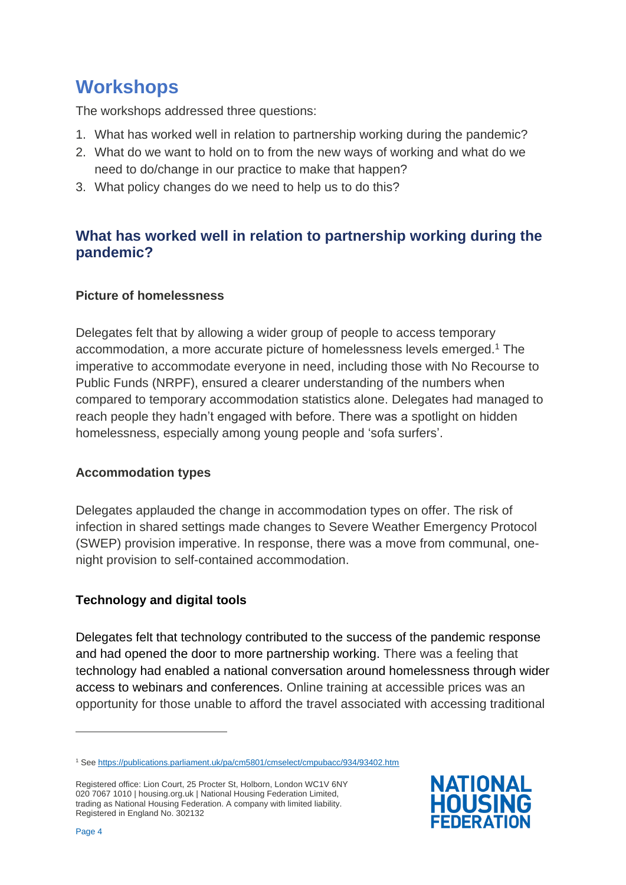## <span id="page-3-0"></span>**Workshops**

The workshops addressed three questions:

- 1. What has worked well in relation to partnership working during the pandemic?
- 2. What do we want to hold on to from the new ways of working and what do we need to do/change in our practice to make that happen?
- 3. What policy changes do we need to help us to do this?

### <span id="page-3-1"></span>**What has worked well in relation to partnership working during the pandemic?**

#### <span id="page-3-2"></span>**Picture of homelessness**

Delegates felt that by allowing a wider group of people to access temporary accommodation, a more accurate picture of homelessness levels emerged.<sup>1</sup> The imperative to accommodate everyone in need, including those with No Recourse to Public Funds (NRPF), ensured a clearer understanding of the numbers when compared to temporary accommodation statistics alone. Delegates had managed to reach people they hadn't engaged with before. There was a spotlight on hidden homelessness, especially among young people and 'sofa surfers'.

#### <span id="page-3-3"></span>**Accommodation types**

Delegates applauded the change in accommodation types on offer. The risk of infection in shared settings made changes to Severe Weather Emergency Protocol (SWEP) provision imperative. In response, there was a move from communal, onenight provision to self-contained accommodation.

#### <span id="page-3-4"></span>**Technology and digital tools**

Delegates felt that technology contributed to the success of the pandemic response and had opened the door to more partnership working. There was a feeling that technology had enabled a national conversation around homelessness through wider access to webinars and conferences. Online training at accessible prices was an opportunity for those unable to afford the travel associated with accessing traditional



<sup>1</sup> Se[e https://publications.parliament.uk/pa/cm5801/cmselect/cmpubacc/934/93402.htm](https://publications.parliament.uk/pa/cm5801/cmselect/cmpubacc/934/93402.htm)

Registered office: Lion Court, 25 Procter St, Holborn, London WC1V 6NY 020 7067 1010 | housing.org.uk | National Housing Federation Limited, trading as National Housing Federation. A company with limited liability. Registered in England No. 302132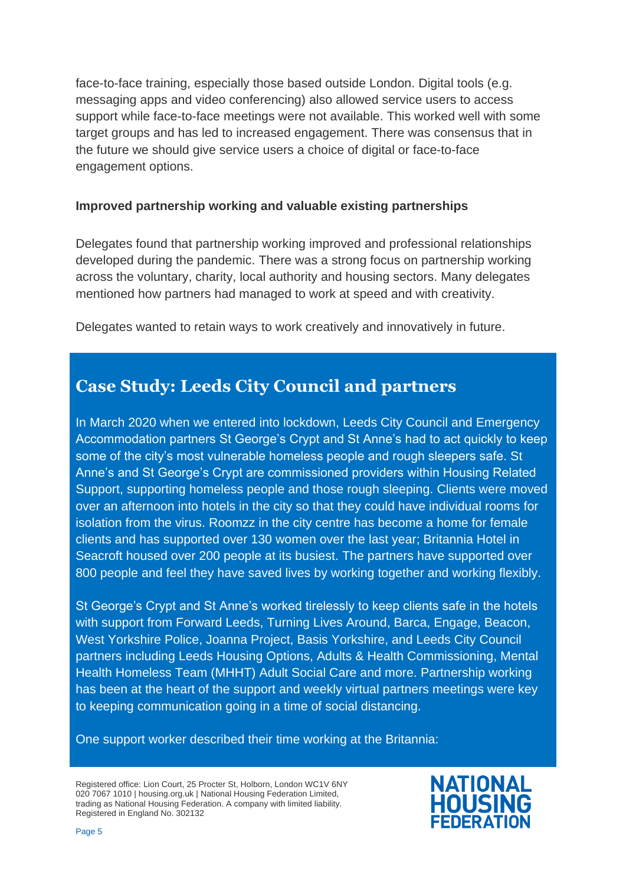face-to-face training, especially those based outside London. Digital tools (e.g. messaging apps and video conferencing) also allowed service users to access support while face-to-face meetings were not available. This worked well with some target groups and has led to increased engagement. There was consensus that in the future we should give service users a choice of digital or face-to-face engagement options.

#### <span id="page-4-0"></span>**Improved partnership working and valuable existing partnerships**

Delegates found that partnership working improved and professional relationships developed during the pandemic. There was a strong focus on partnership working across the voluntary, charity, local authority and housing sectors. Many delegates mentioned how partners had managed to work at speed and with creativity.

Delegates wanted to retain ways to work creatively and innovatively in future.

## **Case Study: Leeds City Council and partners**

In March 2020 when we entered into lockdown, Leeds City Council and Emergency Accommodation partners St George's Crypt and St Anne's had to act quickly to keep some of the city's most vulnerable homeless people and rough sleepers safe. St Anne's and St George's Crypt are commissioned providers within Housing Related Support, supporting homeless people and those rough sleeping. Clients were moved over an afternoon into hotels in the city so that they could have individual rooms for isolation from the virus. Roomzz in the city centre has become a home for female clients and has supported over 130 women over the last year; Britannia Hotel in Seacroft housed over 200 people at its busiest. The partners have supported over 800 people and feel they have saved lives by working together and working flexibly.

St George's Crypt and St Anne's worked tirelessly to keep clients safe in the hotels with support from Forward Leeds, Turning Lives Around, Barca, Engage, Beacon, West Yorkshire Police, Joanna Project, Basis Yorkshire, and Leeds City Council partners including Leeds Housing Options, Adults & Health Commissioning, Mental Health Homeless Team (MHHT) Adult Social Care and more. Partnership working has been at the heart of the support and weekly virtual partners meetings were key to keeping communication going in a time of social distancing.

One support worker described their time working at the Britannia:

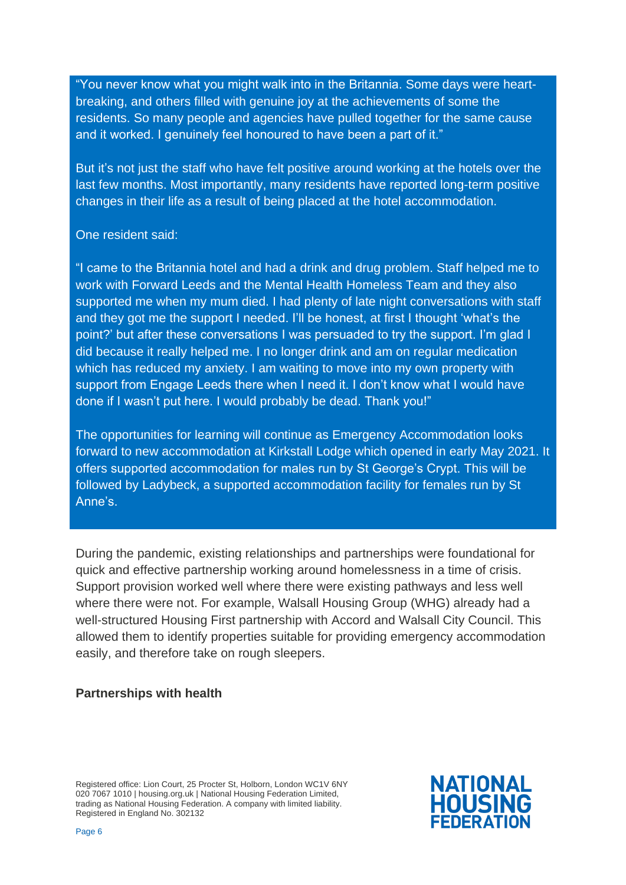"You never know what you might walk into in the Britannia. Some days were heartbreaking, and others filled with genuine joy at the achievements of some the residents. So many people and agencies have pulled together for the same cause and it worked. I genuinely feel honoured to have been a part of it."

But it's not just the staff who have felt positive around working at the hotels over the last few months. Most importantly, many residents have reported long-term positive changes in their life as a result of being placed at the hotel accommodation.

#### One resident said:

"I came to the Britannia hotel and had a drink and drug problem. Staff helped me to work with Forward Leeds and the Mental Health Homeless Team and they also supported me when my mum died. I had plenty of late night conversations with staff and they got me the support I needed. I'll be honest, at first I thought 'what's the point?' but after these conversations I was persuaded to try the support. I'm glad I did because it really helped me. I no longer drink and am on regular medication which has reduced my anxiety. I am waiting to move into my own property with support from Engage Leeds there when I need it. I don't know what I would have done if I wasn't put here. I would probably be dead. Thank you!"

The opportunities for learning will continue as Emergency Accommodation looks forward to new accommodation at Kirkstall Lodge which opened in early May 2021. It offers supported accommodation for males run by St George's Crypt. This will be followed by Ladybeck, a supported accommodation facility for females run by St Anne's.

During the pandemic, existing relationships and partnerships were foundational for quick and effective partnership working around homelessness in a time of crisis. Support provision worked well where there were existing pathways and less well where there were not. For example, Walsall Housing Group (WHG) already had a well-structured Housing First partnership with Accord and Walsall City Council. This allowed them to identify properties suitable for providing emergency accommodation easily, and therefore take on rough sleepers.

#### <span id="page-5-0"></span>**Partnerships with health**

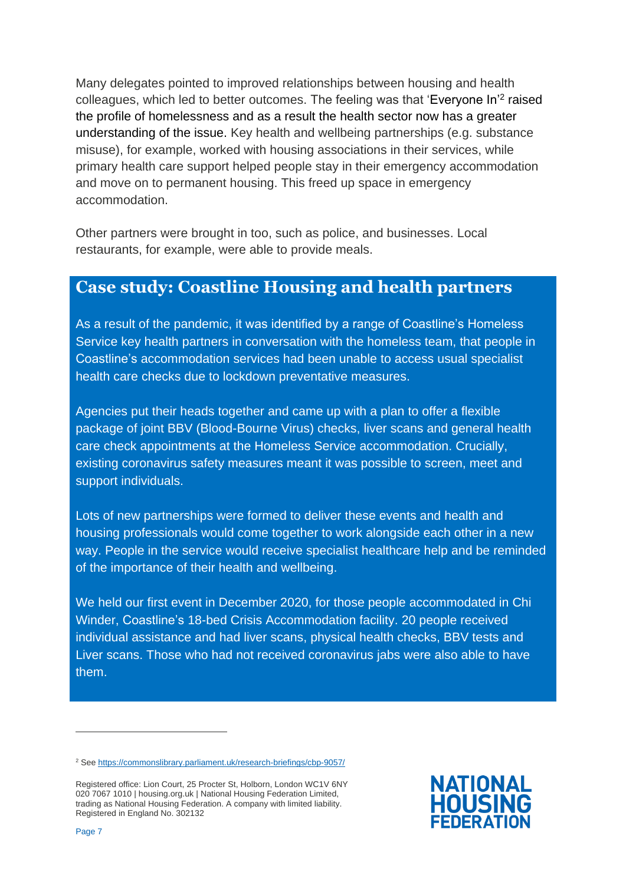Many delegates pointed to improved relationships between housing and health colleagues, which led to better outcomes. The feeling was that 'Everyone In'<sup>2</sup> raised the profile of homelessness and as a result the health sector now has a greater understanding of the issue. Key health and wellbeing partnerships (e.g. substance misuse), for example, worked with housing associations in their services, while primary health care support helped people stay in their emergency accommodation and move on to permanent housing. This freed up space in emergency accommodation.

Other partners were brought in too, such as police, and businesses. Local restaurants, for example, were able to provide meals.

### **Case study: Coastline Housing and health partners**

As a result of the pandemic, it was identified by a range of Coastline's Homeless Service key health partners in conversation with the homeless team, that people in Coastline's accommodation services had been unable to access usual specialist health care checks due to lockdown preventative measures.

Agencies put their heads together and came up with a plan to offer a flexible package of joint BBV (Blood-Bourne Virus) checks, liver scans and general health care check appointments at the Homeless Service accommodation. Crucially, existing coronavirus safety measures meant it was possible to screen, meet and support individuals.

Lots of new partnerships were formed to deliver these events and health and housing professionals would come together to work alongside each other in a new way. People in the service would receive specialist healthcare help and be reminded of the importance of their health and wellbeing.

We held our first event in December 2020, for those people accommodated in Chi Winder, Coastline's 18-bed Crisis Accommodation facility. 20 people received individual assistance and had liver scans, physical health checks, BBV tests and Liver scans. Those who had not received coronavirus jabs were also able to have them.



<sup>2</sup> Se[e https://commonslibrary.parliament.uk/research-briefings/cbp-9057/](https://commonslibrary.parliament.uk/research-briefings/cbp-9057/)

Registered office: Lion Court, 25 Procter St, Holborn, London WC1V 6NY 020 7067 1010 | housing.org.uk | National Housing Federation Limited, trading as National Housing Federation. A company with limited liability. Registered in England No. 302132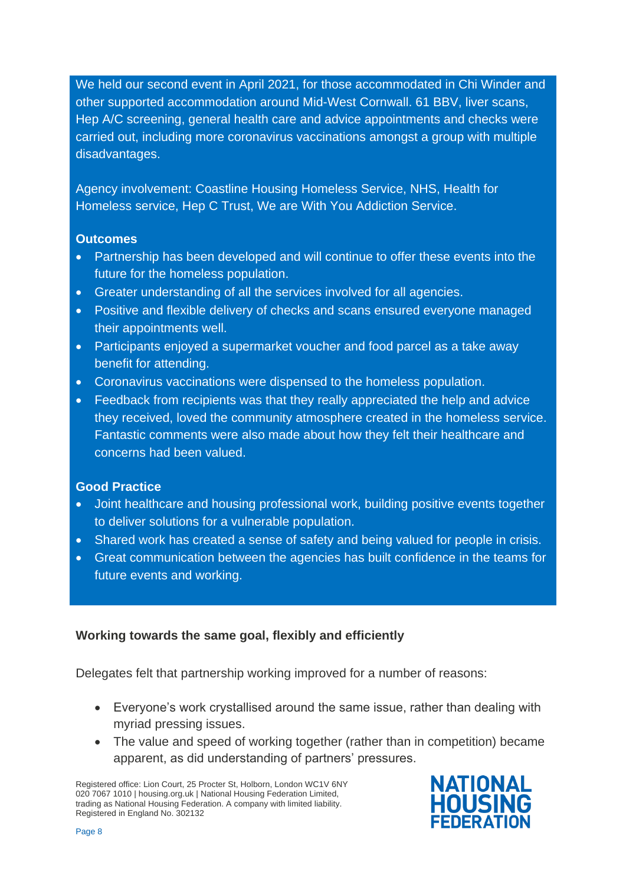We held our second event in April 2021, for those accommodated in Chi Winder and other supported accommodation around Mid-West Cornwall. 61 BBV, liver scans, Hep A/C screening, general health care and advice appointments and checks were carried out, including more coronavirus vaccinations amongst a group with multiple disadvantages.

Agency involvement: Coastline Housing Homeless Service, NHS, Health for Homeless service, Hep C Trust, We are With You Addiction Service.

#### **Outcomes**

- Partnership has been developed and will continue to offer these events into the future for the homeless population.
- Greater understanding of all the services involved for all agencies.
- Positive and flexible delivery of checks and scans ensured everyone managed their appointments well.
- Participants enjoyed a supermarket voucher and food parcel as a take away benefit for attending.
- Coronavirus vaccinations were dispensed to the homeless population.
- Feedback from recipients was that they really appreciated the help and advice they received, loved the community atmosphere created in the homeless service. Fantastic comments were also made about how they felt their healthcare and concerns had been valued.

#### **Good Practice**

- Joint healthcare and housing professional work, building positive events together to deliver solutions for a vulnerable population.
- Shared work has created a sense of safety and being valued for people in crisis.
- Great communication between the agencies has built confidence in the teams for future events and working.

#### <span id="page-7-0"></span>**Working towards the same goal, flexibly and efficiently**

Delegates felt that partnership working improved for a number of reasons:

- Everyone's work crystallised around the same issue, rather than dealing with myriad pressing issues.
- The value and speed of working together (rather than in competition) became apparent, as did understanding of partners' pressures.

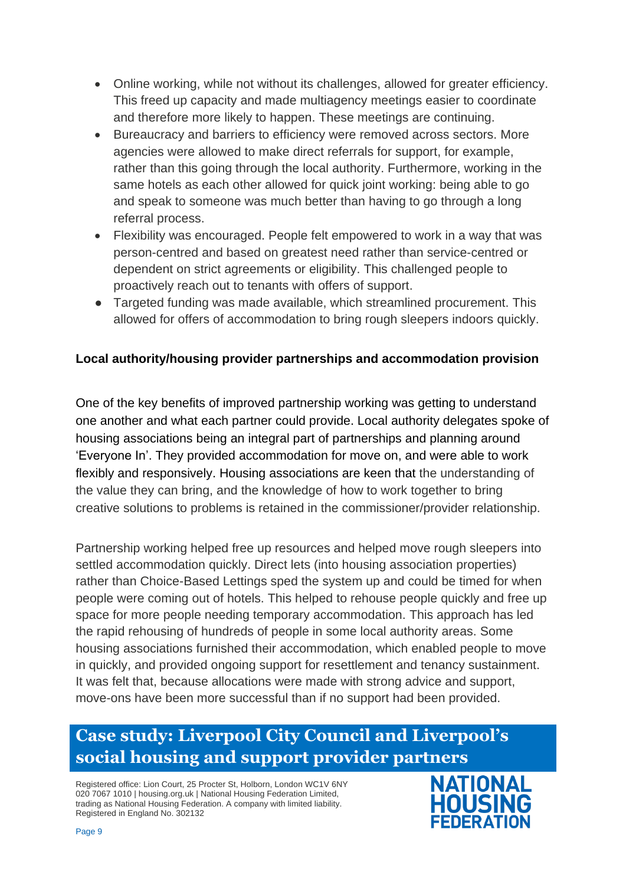- Online working, while not without its challenges, allowed for greater efficiency. This freed up capacity and made multiagency meetings easier to coordinate and therefore more likely to happen. These meetings are continuing.
- Bureaucracy and barriers to efficiency were removed across sectors. More agencies were allowed to make direct referrals for support, for example, rather than this going through the local authority. Furthermore, working in the same hotels as each other allowed for quick joint working: being able to go and speak to someone was much better than having to go through a long referral process.
- Flexibility was encouraged. People felt empowered to work in a way that was person-centred and based on greatest need rather than service-centred or dependent on strict agreements or eligibility. This challenged people to proactively reach out to tenants with offers of support.
- Targeted funding was made available, which streamlined procurement. This allowed for offers of accommodation to bring rough sleepers indoors quickly.

#### <span id="page-8-0"></span>**Local authority/housing provider partnerships and accommodation provision**

One of the key benefits of improved partnership working was getting to understand one another and what each partner could provide. Local authority delegates spoke of housing associations being an integral part of partnerships and planning around 'Everyone In'. They provided accommodation for move on, and were able to work flexibly and responsively. Housing associations are keen that the understanding of the value they can bring, and the knowledge of how to work together to bring creative solutions to problems is retained in the commissioner/provider relationship.

Partnership working helped free up resources and helped move rough sleepers into settled accommodation quickly. Direct lets (into housing association properties) rather than Choice-Based Lettings sped the system up and could be timed for when people were coming out of hotels. This helped to rehouse people quickly and free up space for more people needing temporary accommodation. This approach has led the rapid rehousing of hundreds of people in some local authority areas. Some housing associations furnished their accommodation, which enabled people to move in quickly, and provided ongoing support for resettlement and tenancy sustainment. It was felt that, because allocations were made with strong advice and support, move-ons have been more successful than if no support had been provided.

## **Case study: Liverpool City Council and Liverpool's social housing and support provider partners**

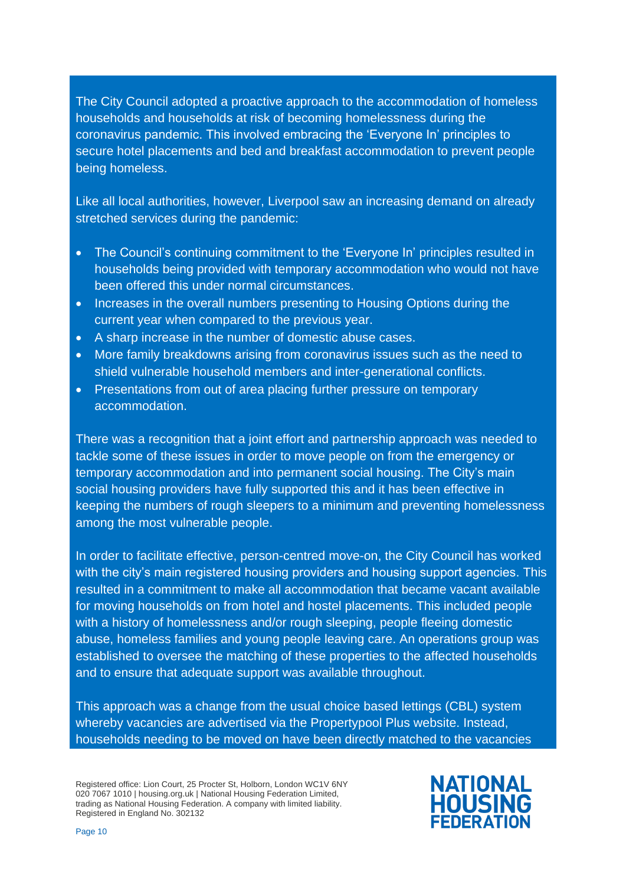The City Council adopted a proactive approach to the accommodation of homeless households and households at risk of becoming homelessness during the coronavirus pandemic. This involved embracing the 'Everyone In' principles to secure hotel placements and bed and breakfast accommodation to prevent people being homeless.

Like all local authorities, however, Liverpool saw an increasing demand on already stretched services during the pandemic:

- The Council's continuing commitment to the 'Everyone In' principles resulted in households being provided with temporary accommodation who would not have been offered this under normal circumstances.
- Increases in the overall numbers presenting to Housing Options during the current year when compared to the previous year.
- A sharp increase in the number of domestic abuse cases.
- More family breakdowns arising from coronavirus issues such as the need to shield vulnerable household members and inter-generational conflicts.
- Presentations from out of area placing further pressure on temporary accommodation.

There was a recognition that a joint effort and partnership approach was needed to tackle some of these issues in order to move people on from the emergency or temporary accommodation and into permanent social housing. The City's main social housing providers have fully supported this and it has been effective in keeping the numbers of rough sleepers to a minimum and preventing homelessness among the most vulnerable people.

In order to facilitate effective, person-centred move-on, the City Council has worked with the city's main registered housing providers and housing support agencies. This resulted in a commitment to make all accommodation that became vacant available for moving households on from hotel and hostel placements. This included people with a history of homelessness and/or rough sleeping, people fleeing domestic abuse, homeless families and young people leaving care. An operations group was established to oversee the matching of these properties to the affected households and to ensure that adequate support was available throughout.

This approach was a change from the usual choice based lettings (CBL) system whereby vacancies are advertised via the Propertypool Plus website. Instead, households needing to be moved on have been directly matched to the vacancies

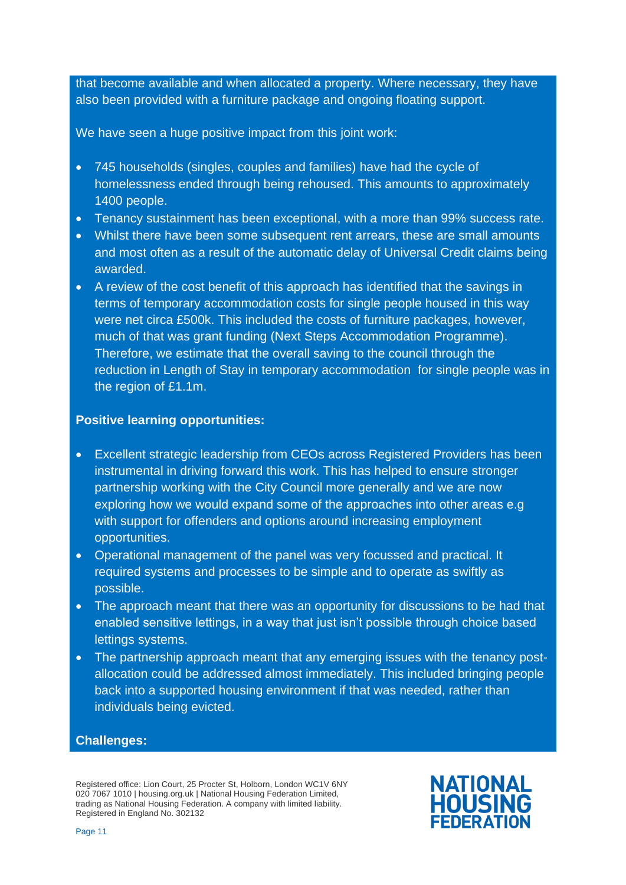that become available and when allocated a property. Where necessary, they have also been provided with a furniture package and ongoing floating support.

We have seen a huge positive impact from this joint work:

- 745 households (singles, couples and families) have had the cycle of homelessness ended through being rehoused. This amounts to approximately 1400 people.
- Tenancy sustainment has been exceptional, with a more than 99% success rate.
- Whilst there have been some subsequent rent arrears, these are small amounts and most often as a result of the automatic delay of Universal Credit claims being awarded.
- A review of the cost benefit of this approach has identified that the savings in terms of temporary accommodation costs for single people housed in this way were net circa £500k. This included the costs of furniture packages, however, much of that was grant funding (Next Steps Accommodation Programme). Therefore, we estimate that the overall saving to the council through the reduction in Length of Stay in temporary accommodation for single people was in the region of £1.1m.

#### **Positive learning opportunities:**

- Excellent strategic leadership from CEOs across Registered Providers has been instrumental in driving forward this work. This has helped to ensure stronger partnership working with the City Council more generally and we are now exploring how we would expand some of the approaches into other areas e.g with support for offenders and options around increasing employment opportunities.
- Operational management of the panel was very focussed and practical. It required systems and processes to be simple and to operate as swiftly as possible.
- The approach meant that there was an opportunity for discussions to be had that enabled sensitive lettings, in a way that just isn't possible through choice based lettings systems.
- The partnership approach meant that any emerging issues with the tenancy postallocation could be addressed almost immediately. This included bringing people back into a supported housing environment if that was needed, rather than individuals being evicted.

#### **Challenges:**

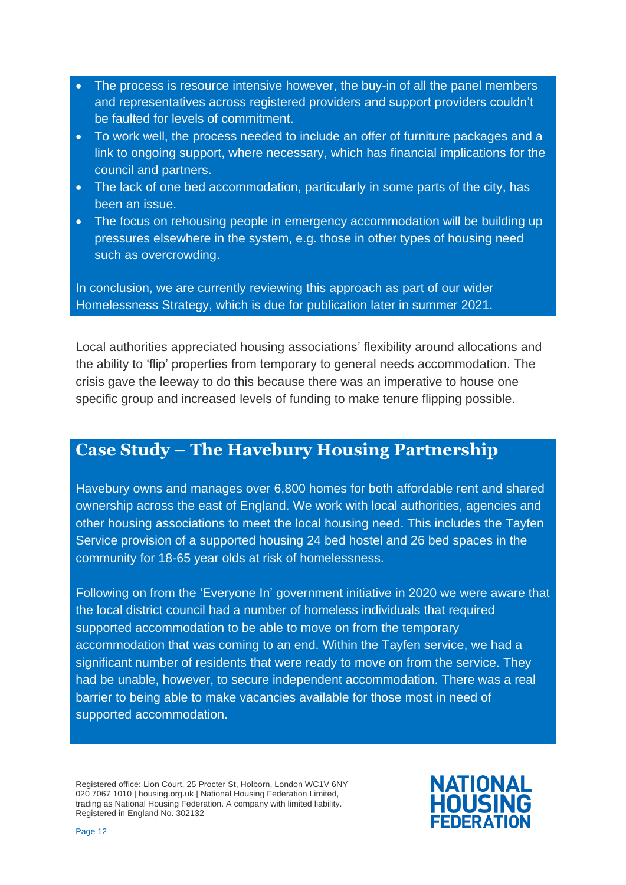- The process is resource intensive however, the buy-in of all the panel members and representatives across registered providers and support providers couldn't be faulted for levels of commitment.
- To work well, the process needed to include an offer of furniture packages and a link to ongoing support, where necessary, which has financial implications for the council and partners.
- The lack of one bed accommodation, particularly in some parts of the city, has been an issue.
- The focus on rehousing people in emergency accommodation will be building up pressures elsewhere in the system, e.g. those in other types of housing need such as overcrowding.

In conclusion, we are currently reviewing this approach as part of our wider Homelessness Strategy, which is due for publication later in summer 2021.

Local authorities appreciated housing associations' flexibility around allocations and the ability to 'flip' properties from temporary to general needs accommodation. The crisis gave the leeway to do this because there was an imperative to house one specific group and increased levels of funding to make tenure flipping possible.

### **Case Study – The Havebury Housing Partnership**

Havebury owns and manages over 6,800 homes for both affordable rent and shared ownership across the east of England. We work with local authorities, agencies and other housing associations to meet the local housing need. This includes the Tayfen Service provision of a supported housing 24 bed hostel and 26 bed spaces in the community for 18-65 year olds at risk of homelessness.

Following on from the 'Everyone In' government initiative in 2020 we were aware that the local district council had a number of homeless individuals that required supported accommodation to be able to move on from the temporary accommodation that was coming to an end. Within the Tayfen service, we had a significant number of residents that were ready to move on from the service. They had be unable, however, to secure independent accommodation. There was a real barrier to being able to make vacancies available for those most in need of supported accommodation.

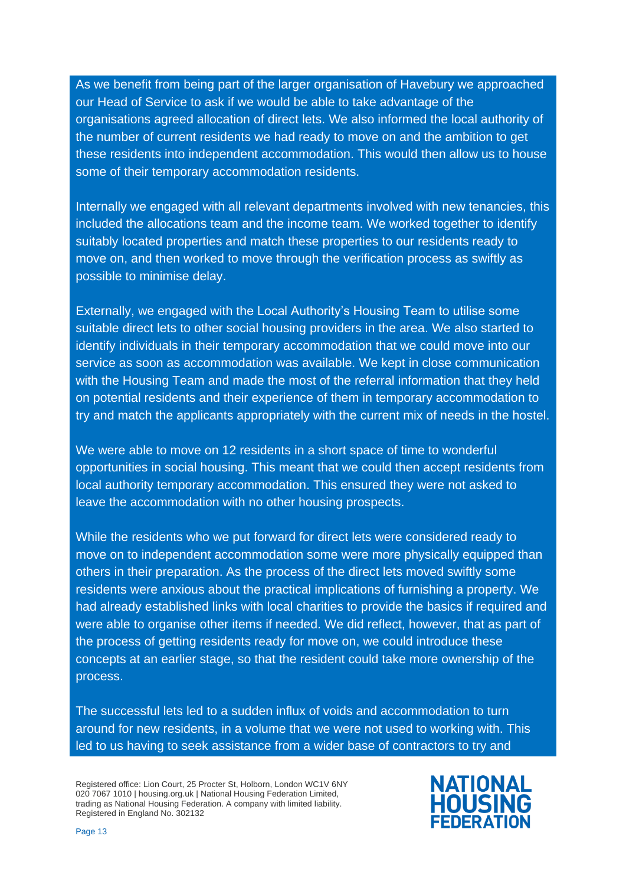As we benefit from being part of the larger organisation of Havebury we approached our Head of Service to ask if we would be able to take advantage of the organisations agreed allocation of direct lets. We also informed the local authority of the number of current residents we had ready to move on and the ambition to get these residents into independent accommodation. This would then allow us to house some of their temporary accommodation residents.

Internally we engaged with all relevant departments involved with new tenancies, this included the allocations team and the income team. We worked together to identify suitably located properties and match these properties to our residents ready to move on, and then worked to move through the verification process as swiftly as possible to minimise delay.

Externally, we engaged with the Local Authority's Housing Team to utilise some suitable direct lets to other social housing providers in the area. We also started to identify individuals in their temporary accommodation that we could move into our service as soon as accommodation was available. We kept in close communication with the Housing Team and made the most of the referral information that they held on potential residents and their experience of them in temporary accommodation to try and match the applicants appropriately with the current mix of needs in the hostel.

We were able to move on 12 residents in a short space of time to wonderful opportunities in social housing. This meant that we could then accept residents from local authority temporary accommodation. This ensured they were not asked to leave the accommodation with no other housing prospects.

While the residents who we put forward for direct lets were considered ready to move on to independent accommodation some were more physically equipped than others in their preparation. As the process of the direct lets moved swiftly some residents were anxious about the practical implications of furnishing a property. We had already established links with local charities to provide the basics if required and were able to organise other items if needed. We did reflect, however, that as part of the process of getting residents ready for move on, we could introduce these concepts at an earlier stage, so that the resident could take more ownership of the process.

The successful lets led to a sudden influx of voids and accommodation to turn around for new residents, in a volume that we were not used to working with. This led to us having to seek assistance from a wider base of contractors to try and

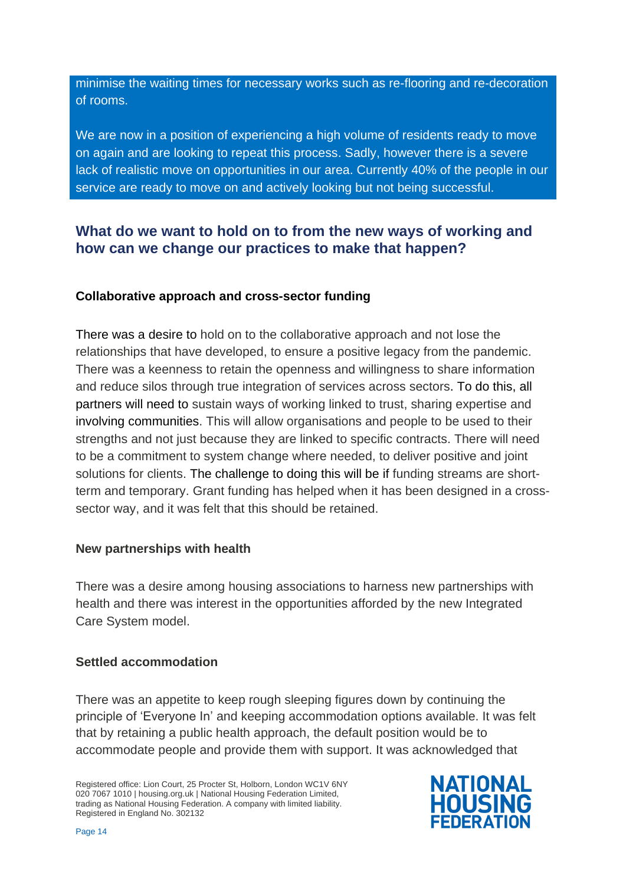minimise the waiting times for necessary works such as re-flooring and re-decoration of rooms.

We are now in a position of experiencing a high volume of residents ready to move on again and are looking to repeat this process. Sadly, however there is a severe lack of realistic move on opportunities in our area. Currently 40% of the people in our service are ready to move on and actively looking but not being successful.

### <span id="page-13-0"></span>**What do we want to hold on to from the new ways of working and how can we change our practices to make that happen?**

#### <span id="page-13-1"></span>**Collaborative approach and cross-sector funding**

There was a desire to hold on to the collaborative approach and not lose the relationships that have developed, to ensure a positive legacy from the pandemic. There was a keenness to retain the openness and willingness to share information and reduce silos through true integration of services across sectors. To do this, all partners will need to sustain ways of working linked to trust, sharing expertise and involving communities. This will allow organisations and people to be used to their strengths and not just because they are linked to specific contracts. There will need to be a commitment to system change where needed, to deliver positive and joint solutions for clients. The challenge to doing this will be if funding streams are shortterm and temporary. Grant funding has helped when it has been designed in a crosssector way, and it was felt that this should be retained.

#### <span id="page-13-2"></span>**New partnerships with health**

There was a desire among housing associations to harness new partnerships with health and there was interest in the opportunities afforded by the new Integrated Care System model.

#### <span id="page-13-3"></span>**Settled accommodation**

There was an appetite to keep rough sleeping figures down by continuing the principle of 'Everyone In' and keeping accommodation options available. It was felt that by retaining a public health approach, the default position would be to accommodate people and provide them with support. It was acknowledged that

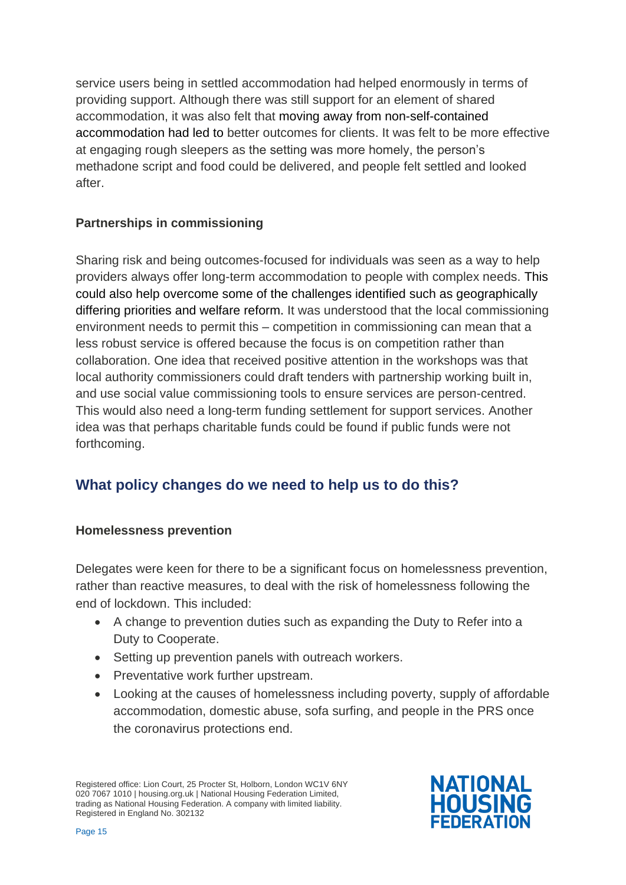service users being in settled accommodation had helped enormously in terms of providing support. Although there was still support for an element of shared accommodation, it was also felt that moving away from non-self-contained accommodation had led to better outcomes for clients. It was felt to be more effective at engaging rough sleepers as the setting was more homely, the person's methadone script and food could be delivered, and people felt settled and looked after.

#### <span id="page-14-0"></span>**Partnerships in commissioning**

Sharing risk and being outcomes-focused for individuals was seen as a way to help providers always offer long-term accommodation to people with complex needs. This could also help overcome some of the challenges identified such as geographically differing priorities and welfare reform. It was understood that the local commissioning environment needs to permit this – competition in commissioning can mean that a less robust service is offered because the focus is on competition rather than collaboration. One idea that received positive attention in the workshops was that local authority commissioners could draft tenders with partnership working built in, and use social value commissioning tools to ensure services are person-centred. This would also need a long-term funding settlement for support services. Another idea was that perhaps charitable funds could be found if public funds were not forthcoming.

### <span id="page-14-1"></span>**What policy changes do we need to help us to do this?**

#### <span id="page-14-2"></span>**Homelessness prevention**

Delegates were keen for there to be a significant focus on homelessness prevention, rather than reactive measures, to deal with the risk of homelessness following the end of lockdown. This included:

- A change to prevention duties such as expanding the Duty to Refer into a Duty to Cooperate.
- Setting up prevention panels with outreach workers.
- Preventative work further upstream.
- Looking at the causes of homelessness including poverty, supply of affordable accommodation, domestic abuse, sofa surfing, and people in the PRS once the coronavirus protections end.

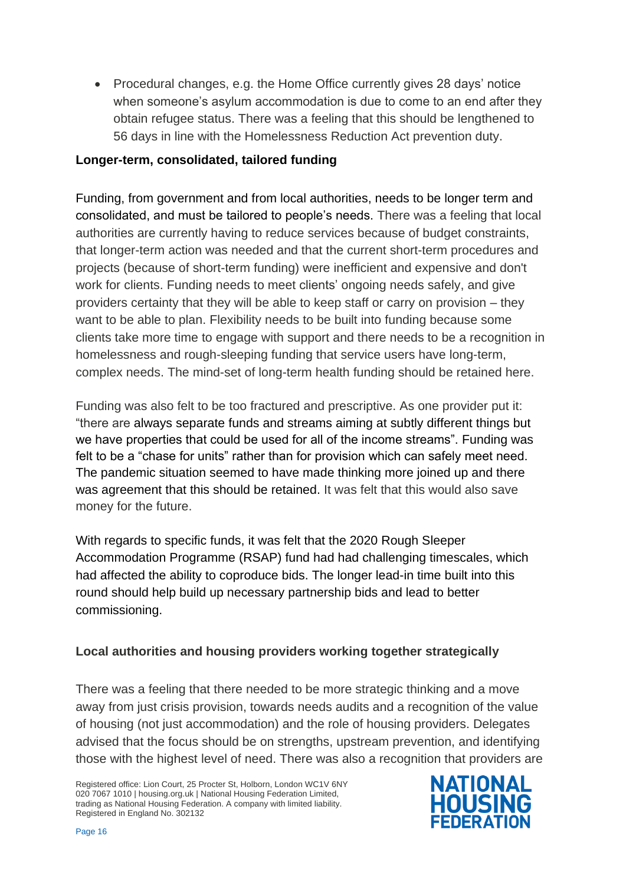• Procedural changes, e.g. the Home Office currently gives 28 days' notice when someone's asylum accommodation is due to come to an end after they obtain refugee status. There was a feeling that this should be lengthened to 56 days in line with the Homelessness Reduction Act prevention duty.

#### <span id="page-15-0"></span>**Longer-term, consolidated, tailored funding**

Funding, from government and from local authorities, needs to be longer term and consolidated, and must be tailored to people's needs. There was a feeling that local authorities are currently having to reduce services because of budget constraints, that longer-term action was needed and that the current short-term procedures and projects (because of short-term funding) were inefficient and expensive and don't work for clients. Funding needs to meet clients' ongoing needs safely, and give providers certainty that they will be able to keep staff or carry on provision – they want to be able to plan. Flexibility needs to be built into funding because some clients take more time to engage with support and there needs to be a recognition in homelessness and rough-sleeping funding that service users have long-term, complex needs. The mind-set of long-term health funding should be retained here.

Funding was also felt to be too fractured and prescriptive. As one provider put it: "there are always separate funds and streams aiming at subtly different things but we have properties that could be used for all of the income streams". Funding was felt to be a "chase for units" rather than for provision which can safely meet need. The pandemic situation seemed to have made thinking more joined up and there was agreement that this should be retained. It was felt that this would also save money for the future.

With regards to specific funds, it was felt that the 2020 Rough Sleeper Accommodation Programme (RSAP) fund had had challenging timescales, which had affected the ability to coproduce bids. The longer lead-in time built into this round should help build up necessary partnership bids and lead to better commissioning.

#### <span id="page-15-1"></span>**Local authorities and housing providers working together strategically**

There was a feeling that there needed to be more strategic thinking and a move away from just crisis provision, towards needs audits and a recognition of the value of housing (not just accommodation) and the role of housing providers. Delegates advised that the focus should be on strengths, upstream prevention, and identifying those with the highest level of need. There was also a recognition that providers are

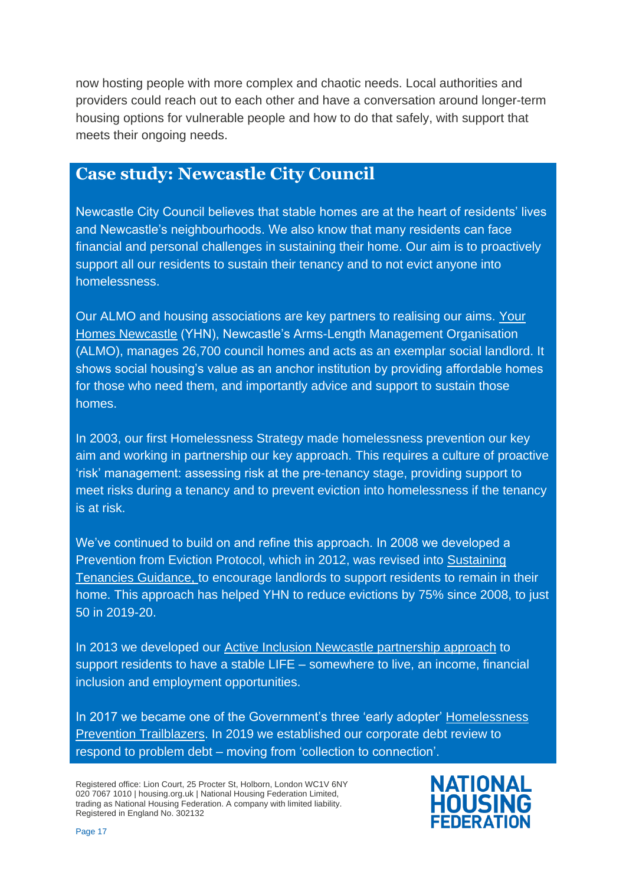now hosting people with more complex and chaotic needs. Local authorities and providers could reach out to each other and have a conversation around longer-term housing options for vulnerable people and how to do that safely, with support that meets their ongoing needs.

### **Case study: Newcastle City Council**

Newcastle City Council believes that stable homes are at the heart of residents' lives and Newcastle's neighbourhoods. We also know that many residents can face financial and personal challenges in sustaining their home. Our aim is to proactively support all our residents to sustain their tenancy and to not evict anyone into homelessness.

Our ALMO and housing associations are key partners to realising our aims. [Your](http://www.yhn.org.uk/)  [Homes Newcastle](http://www.yhn.org.uk/) (YHN), Newcastle's Arms-Length Management Organisation (ALMO), manages 26,700 council homes and acts as an exemplar social landlord. It shows social housing's value as an anchor institution by providing affordable homes for those who need them, and importantly advice and support to sustain those homes.

In 2003, our first Homelessness Strategy made homelessness prevention our key aim and working in partnership our key approach. This requires a culture of proactive 'risk' management: assessing risk at the pre-tenancy stage, providing support to meet risks during a tenancy and to prevent eviction into homelessness if the tenancy is at risk.

We've continued to build on and refine this approach. In 2008 we developed a Prevention from Eviction Protocol, which in 2012, was revised into [Sustaining](https://www.newcastle.gov.uk/sites/default/files/sustaining_tenancies_guidance_city_council_version_december_2012_0.pdf)  [Tenancies Guidance,](https://www.newcastle.gov.uk/sites/default/files/sustaining_tenancies_guidance_city_council_version_december_2012_0.pdf) to encourage landlords to support residents to remain in their home. This approach has helped YHN to reduce evictions by 75% since 2008, to just 50 in 2019-20.

In 2013 we developed our [Active Inclusion Newcastle partnership approach](https://www.newcastle.gov.uk/sites/default/files/Housing%20and%20homelessness/Professionals%20page/Active%20Inclusion%20Newcastle%20-%20briefing%20note%202020-21_0.pdf) to support residents to have a stable LIFE – somewhere to live, an income, financial inclusion and employment opportunities.

In 2017 we became one of the Government's three 'early adopter' [Homelessness](https://www.newcastle.gov.uk/services/housing/housing-advice-and-homelessness/information-professionals/newcastles-homelessness)  [Prevention Trailblazers](https://www.newcastle.gov.uk/services/housing/housing-advice-and-homelessness/information-professionals/newcastles-homelessness). In 2019 we established our corporate debt review to respond to problem debt – moving from 'collection to connection'.

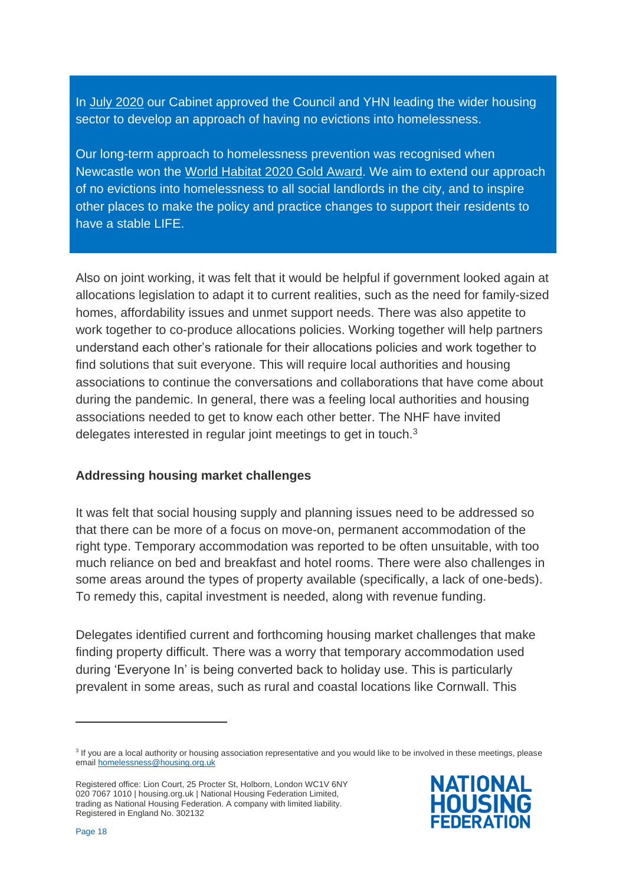In [July 2020](https://democracy.newcastle.gov.uk/documents/s160258/Newcastles%20responses%20to%20the%20Governments%20welfare%20reforms%20in%20the%20context%20of%20coronavirus%20COVID-19.pdf) our Cabinet approved the Council and YHN leading the wider housing sector to develop an approach of having no evictions into homelessness.

Our long-term approach to homelessness prevention was recognised when Newcastle won the [World Habitat 2020 Gold Award.](https://world-habitat.org/news/news-updates/the-2020-world-habitat-awards-winners-announced/) We aim to extend our approach of no evictions into homelessness to all social landlords in the city, and to inspire other places to make the policy and practice changes to support their residents to have a stable LIFE.

Also on joint working, it was felt that it would be helpful if government looked again at allocations legislation to adapt it to current realities, such as the need for family-sized homes, affordability issues and unmet support needs. There was also appetite to work together to co-produce allocations policies. Working together will help partners understand each other's rationale for their allocations policies and work together to find solutions that suit everyone. This will require local authorities and housing associations to continue the conversations and collaborations that have come about during the pandemic. In general, there was a feeling local authorities and housing associations needed to get to know each other better. The NHF have invited delegates interested in regular joint meetings to get in touch.<sup>3</sup>

#### <span id="page-17-0"></span>**Addressing housing market challenges**

It was felt that social housing supply and planning issues need to be addressed so that there can be more of a focus on move-on, permanent accommodation of the right type. Temporary accommodation was reported to be often unsuitable, with too much reliance on bed and breakfast and hotel rooms. There were also challenges in some areas around the types of property available (specifically, a lack of one-beds). To remedy this, capital investment is needed, along with revenue funding.

Delegates identified current and forthcoming housing market challenges that make finding property difficult. There was a worry that temporary accommodation used during 'Everyone In' is being converted back to holiday use. This is particularly prevalent in some areas, such as rural and coastal locations like Cornwall. This



<sup>&</sup>lt;sup>3</sup> If you are a local authority or housing association representative and you would like to be involved in these meetings, please emai[l homelessness@housing.org.uk](mailto:homelessness@housing.org.uk)

Registered office: Lion Court, 25 Procter St, Holborn, London WC1V 6NY 020 7067 1010 | housing.org.uk | National Housing Federation Limited, trading as National Housing Federation. A company with limited liability. Registered in England No. 302132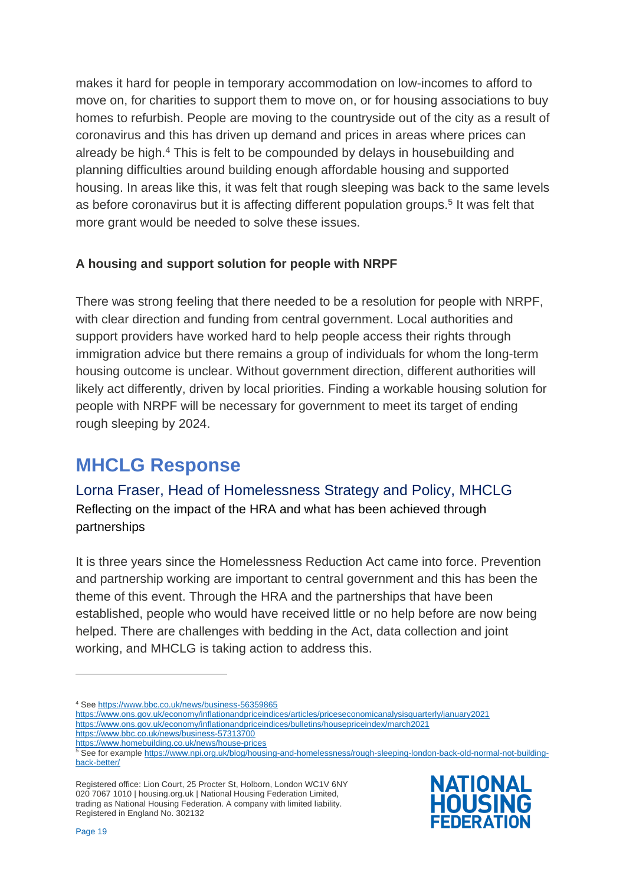makes it hard for people in temporary accommodation on low-incomes to afford to move on, for charities to support them to move on, or for housing associations to buy homes to refurbish. People are moving to the countryside out of the city as a result of coronavirus and this has driven up demand and prices in areas where prices can already be high.<sup>4</sup> This is felt to be compounded by delays in housebuilding and planning difficulties around building enough affordable housing and supported housing. In areas like this, it was felt that rough sleeping was back to the same levels as before coronavirus but it is affecting different population groups.<sup>5</sup> It was felt that more grant would be needed to solve these issues.

#### <span id="page-18-0"></span>**A housing and support solution for people with NRPF**

There was strong feeling that there needed to be a resolution for people with NRPF, with clear direction and funding from central government. Local authorities and support providers have worked hard to help people access their rights through immigration advice but there remains a group of individuals for whom the long-term housing outcome is unclear. Without government direction, different authorities will likely act differently, driven by local priorities. Finding a workable housing solution for people with NRPF will be necessary for government to meet its target of ending rough sleeping by 2024.

## <span id="page-18-1"></span>**MHCLG Response**

Lorna Fraser, Head of Homelessness Strategy and Policy, MHCLG Reflecting on the impact of the HRA and what has been achieved through partnerships

It is three years since the Homelessness Reduction Act came into force. Prevention and partnership working are important to central government and this has been the theme of this event. Through the HRA and the partnerships that have been established, people who would have received little or no help before are now being helped. There are challenges with bedding in the Act, data collection and joint working, and MHCLG is taking action to address this.

<https://www.bbc.co.uk/news/business-57313700>

Registered office: Lion Court, 25 Procter St, Holborn, London WC1V 6NY 020 7067 1010 | housing.org.uk | National Housing Federation Limited, trading as National Housing Federation. A company with limited liability. Registered in England No. 302132



<sup>4</sup> Se[e https://www.bbc.co.uk/news/business-56359865](https://www.bbc.co.uk/news/business-56359865)

<https://www.ons.gov.uk/economy/inflationandpriceindices/articles/priceseconomicanalysisquarterly/january2021>

<https://www.ons.gov.uk/economy/inflationandpriceindices/bulletins/housepriceindex/march2021>

<https://www.homebuilding.co.uk/news/house-prices>

<sup>5</sup> See for exampl[e https://www.npi.org.uk/blog/housing-and-homelessness/rough-sleeping-london-back-old-normal-not-building](https://www.npi.org.uk/blog/housing-and-homelessness/rough-sleeping-london-back-old-normal-not-building-back-better/)[back-better/](https://www.npi.org.uk/blog/housing-and-homelessness/rough-sleeping-london-back-old-normal-not-building-back-better/)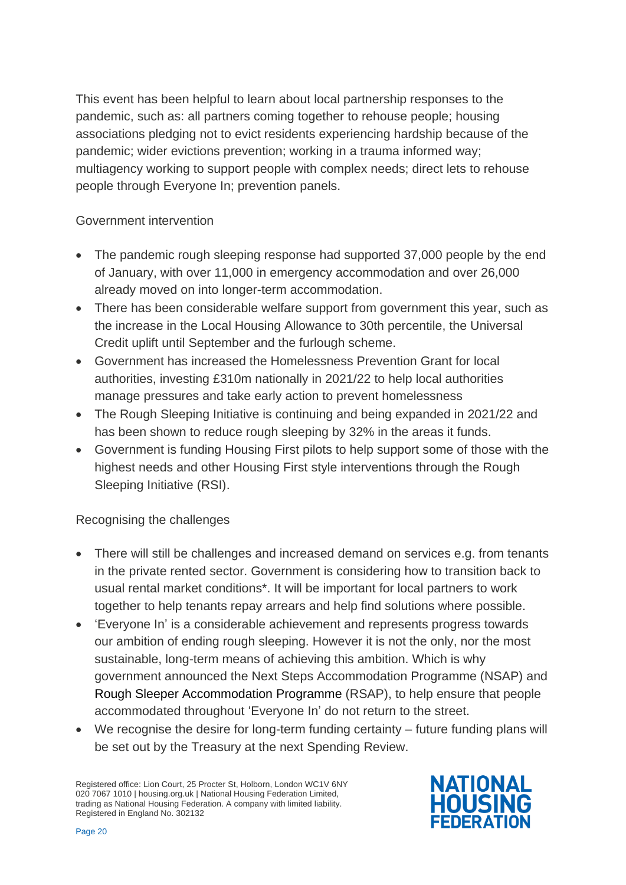This event has been helpful to learn about local partnership responses to the pandemic, such as: all partners coming together to rehouse people; housing associations pledging not to evict residents experiencing hardship because of the pandemic; wider evictions prevention; working in a trauma informed way; multiagency working to support people with complex needs; direct lets to rehouse people through Everyone In; prevention panels.

#### Government intervention

- The pandemic rough sleeping response had supported 37,000 people by the end of January, with over 11,000 in emergency accommodation and over 26,000 already moved on into longer-term accommodation.
- There has been considerable welfare support from government this year, such as the increase in the Local Housing Allowance to 30th percentile, the Universal Credit uplift until September and the furlough scheme.
- Government has increased the Homelessness Prevention Grant for local authorities, investing £310m nationally in 2021/22 to help local authorities manage pressures and take early action to prevent homelessness
- The Rough Sleeping Initiative is continuing and being expanded in 2021/22 and has been shown to reduce rough sleeping by 32% in the areas it funds.
- Government is funding Housing First pilots to help support some of those with the highest needs and other Housing First style interventions through the Rough Sleeping Initiative (RSI).

#### Recognising the challenges

- There will still be challenges and increased demand on services e.g. from tenants in the private rented sector. Government is considering how to transition back to usual rental market conditions\*. It will be important for local partners to work together to help tenants repay arrears and help find solutions where possible.
- 'Everyone In' is a considerable achievement and represents progress towards our ambition of ending rough sleeping. However it is not the only, nor the most sustainable, long-term means of achieving this ambition. Which is why government announced the Next Steps Accommodation Programme (NSAP) and Rough Sleeper Accommodation Programme (RSAP), to help ensure that people accommodated throughout 'Everyone In' do not return to the street.
- We recognise the desire for long-term funding certainty future funding plans will be set out by the Treasury at the next Spending Review.